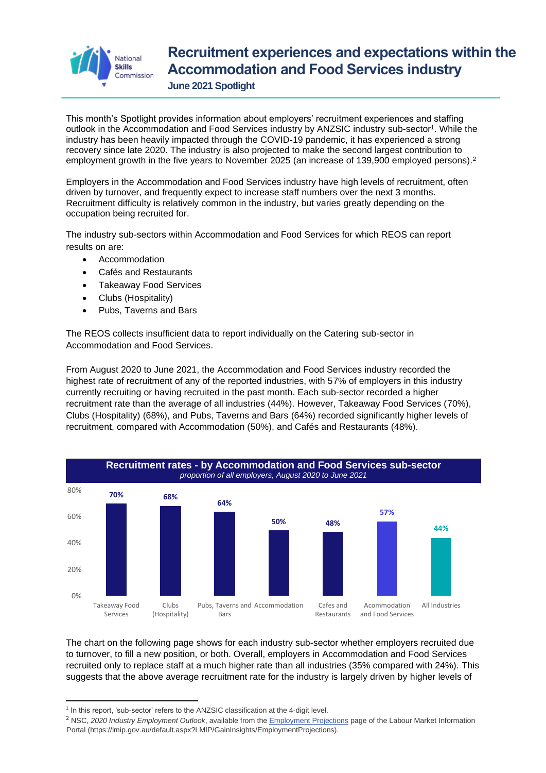

## **Recruitment experiences and expectations within the Accommodation and Food Services industry**

**June 2021 Spotlight**

This month's Spotlight provides information about employers' recruitment experiences and staffing outlook in the Accommodation and Food Services industry by ANZSIC industry sub-sector<sup>1</sup>. While the industry has been heavily impacted through the COVID-19 pandemic, it has experienced a strong recovery since late 2020. The industry is also projected to make the second largest contribution to employment growth in the five years to November 2025 (an increase of 139,900 employed persons).<sup>2</sup>

Employers in the Accommodation and Food Services industry have high levels of recruitment, often driven by turnover, and frequently expect to increase staff numbers over the next 3 months. Recruitment difficulty is relatively common in the industry, but varies greatly depending on the occupation being recruited for.

The industry sub-sectors within Accommodation and Food Services for which REOS can report results on are:

- Accommodation
- Cafés and Restaurants
- Takeaway Food Services
- Clubs (Hospitality)
- Pubs, Taverns and Bars

The REOS collects insufficient data to report individually on the Catering sub-sector in Accommodation and Food Services.

From August 2020 to June 2021, the Accommodation and Food Services industry recorded the highest rate of recruitment of any of the reported industries, with 57% of employers in this industry currently recruiting or having recruited in the past month. Each sub-sector recorded a higher recruitment rate than the average of all industries (44%). However, Takeaway Food Services (70%), Clubs (Hospitality) (68%), and Pubs, Taverns and Bars (64%) recorded significantly higher levels of recruitment, compared with Accommodation (50%), and Cafés and Restaurants (48%).



The chart on the following page shows for each industry sub-sector whether employers recruited due to turnover, to fill a new position, or both. Overall, employers in Accommodation and Food Services recruited only to replace staff at a much higher rate than all industries (35% compared with 24%). This suggests that the above average recruitment rate for the industry is largely driven by higher levels of

<sup>&</sup>lt;sup>1</sup> In this report, 'sub-sector' refers to the ANZSIC classification at the 4-digit level.

<sup>&</sup>lt;sup>2</sup> NSC, 2020 Industry Employment Outlook, available from the **Employment Projections** page of the Labour Market Information Portal (https://lmip.gov.au/default.aspx?LMIP/GainInsights/EmploymentProjections).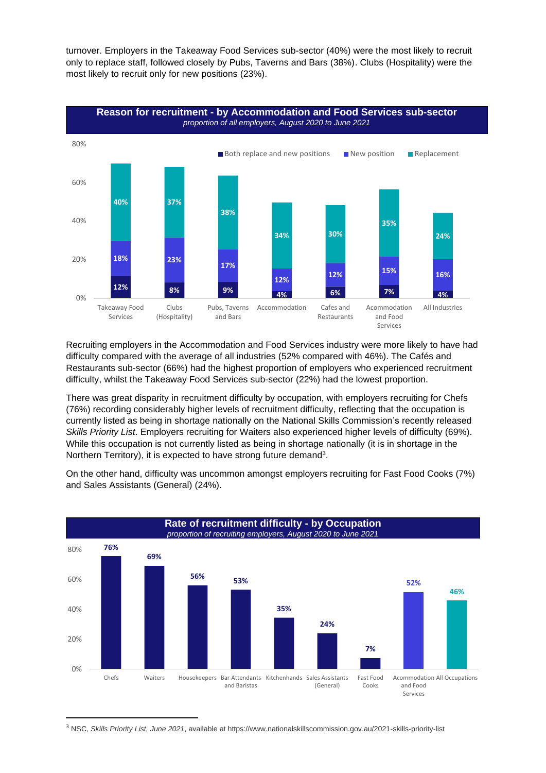turnover. Employers in the Takeaway Food Services sub-sector (40%) were the most likely to recruit only to replace staff, followed closely by Pubs, Taverns and Bars (38%). Clubs (Hospitality) were the most likely to recruit only for new positions (23%).



Recruiting employers in the Accommodation and Food Services industry were more likely to have had difficulty compared with the average of all industries (52% compared with 46%). The Cafés and Restaurants sub-sector (66%) had the highest proportion of employers who experienced recruitment difficulty, whilst the Takeaway Food Services sub-sector (22%) had the lowest proportion.

There was great disparity in recruitment difficulty by occupation, with employers recruiting for Chefs (76%) recording considerably higher levels of recruitment difficulty, reflecting that the occupation is currently listed as being in shortage nationally on the National Skills Commission's recently released *Skills Priority List*. Employers recruiting for Waiters also experienced higher levels of difficulty (69%). While this occupation is not currently listed as being in shortage nationally (it is in shortage in the Northern Territory), it is expected to have strong future demand<sup>3</sup>.

On the other hand, difficulty was uncommon amongst employers recruiting for Fast Food Cooks (7%) and Sales Assistants (General) (24%).



<sup>3</sup> NSC, *Skills Priority List, June 2021*, available at https://www.nationalskillscommission.gov.au/2021-skills-priority-list